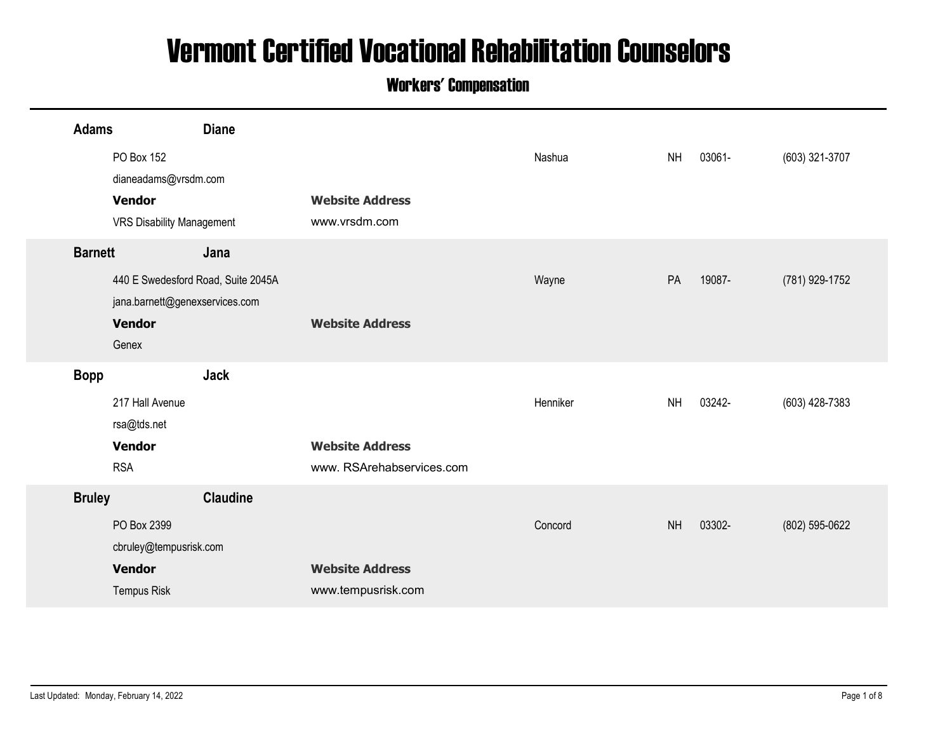## Vermont Certified Vocational Rehabilitation Counselors

## Workers' Compensation

|                |                                                   |                                    | <b>Vermont Certified Vocational Rehabilitation Counselors</b><br><b>Workers' Compensation</b> |          |           |        |                |
|----------------|---------------------------------------------------|------------------------------------|-----------------------------------------------------------------------------------------------|----------|-----------|--------|----------------|
|                |                                                   |                                    |                                                                                               |          |           |        |                |
| <b>Adams</b>   | PO Box 152                                        | <b>Diane</b>                       |                                                                                               | Nashua   | <b>NH</b> | 03061- | (603) 321-3707 |
|                | dianeadams@vrsdm.com                              |                                    |                                                                                               |          |           |        |                |
|                | <b>Vendor</b><br><b>VRS Disability Management</b> |                                    | <b>Website Address</b><br>www.vrsdm.com                                                       |          |           |        |                |
| <b>Barnett</b> |                                                   | Jana                               |                                                                                               |          |           |        |                |
|                |                                                   | 440 E Swedesford Road, Suite 2045A |                                                                                               | Wayne    | PA        | 19087- | (781) 929-1752 |
|                | jana.barnett@genexservices.com<br><b>Vendor</b>   |                                    | <b>Website Address</b>                                                                        |          |           |        |                |
|                | Genex                                             |                                    |                                                                                               |          |           |        |                |
| <b>Bopp</b>    |                                                   | <b>Jack</b>                        |                                                                                               |          |           |        |                |
|                | 217 Hall Avenue                                   |                                    |                                                                                               | Henniker | <b>NH</b> | 03242- | (603) 428-7383 |
|                | rsa@tds.net<br><b>Vendor</b>                      |                                    | <b>Website Address</b>                                                                        |          |           |        |                |
|                | <b>RSA</b>                                        |                                    | www. RSArehabservices.com                                                                     |          |           |        |                |
| <b>Bruley</b>  |                                                   | <b>Claudine</b>                    |                                                                                               |          |           |        |                |
|                | PO Box 2399                                       |                                    |                                                                                               | Concord  | <b>NH</b> | 03302- | (802) 595-0622 |
|                | cbruley@tempusrisk.com<br><b>Vendor</b>           |                                    | <b>Website Address</b>                                                                        |          |           |        |                |
|                | Tempus Risk                                       |                                    | www.tempusrisk.com                                                                            |          |           |        |                |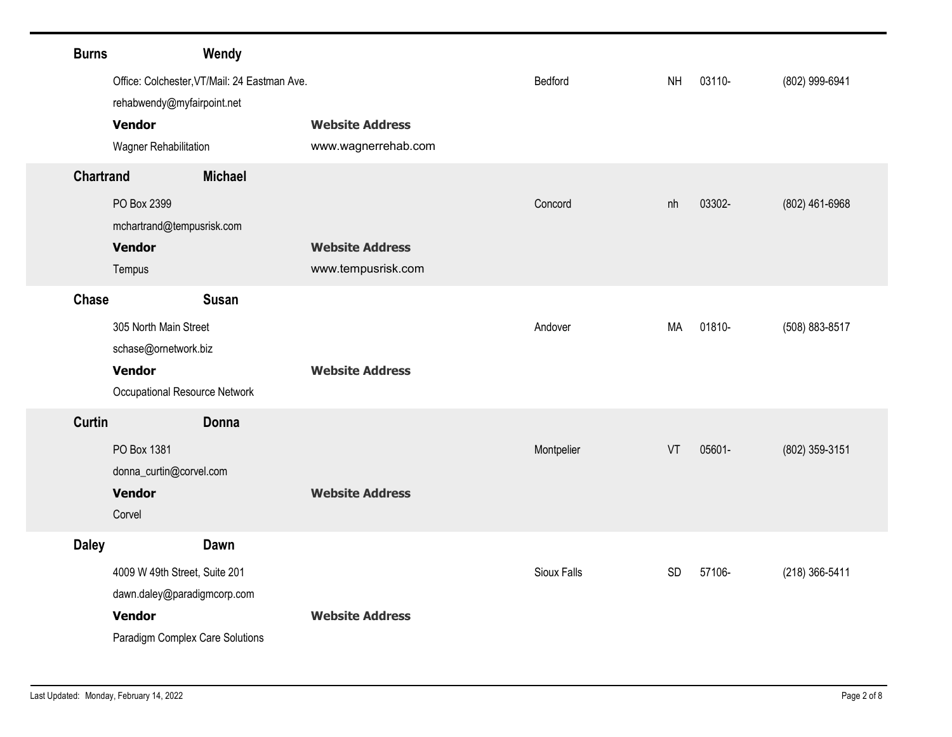| <b>Burns</b>     |                                              | Wendy                                         |             |           |        |                |
|------------------|----------------------------------------------|-----------------------------------------------|-------------|-----------|--------|----------------|
|                  | Office: Colchester, VT/Mail: 24 Eastman Ave. |                                               | Bedford     | <b>NH</b> | 03110- | (802) 999-6941 |
|                  | rehabwendy@myfairpoint.net                   |                                               |             |           |        |                |
|                  | <b>Vendor</b><br>Wagner Rehabilitation       | <b>Website Address</b><br>www.wagnerrehab.com |             |           |        |                |
| <b>Chartrand</b> |                                              | <b>Michael</b>                                |             |           |        |                |
|                  | PO Box 2399                                  |                                               | Concord     | nh        | 03302- | (802) 461-6968 |
|                  | mchartrand@tempusrisk.com                    |                                               |             |           |        |                |
|                  | <b>Vendor</b>                                | <b>Website Address</b>                        |             |           |        |                |
|                  | Tempus                                       | www.tempusrisk.com                            |             |           |        |                |
| Chase            | 305 North Main Street                        | <b>Susan</b>                                  | Andover     | MA        | 01810- | (508) 883-8517 |
|                  | schase@ornetwork.biz                         |                                               |             |           |        |                |
|                  | <b>Vendor</b>                                | <b>Website Address</b>                        |             |           |        |                |
|                  | Occupational Resource Network                |                                               |             |           |        |                |
| Curtin           |                                              | Donna                                         |             |           |        |                |
|                  | PO Box 1381<br>donna_curtin@corvel.com       |                                               | Montpelier  | VT        | 05601- | (802) 359-3151 |
|                  | <b>Vendor</b>                                | <b>Website Address</b>                        |             |           |        |                |
|                  | Corvel                                       |                                               |             |           |        |                |
|                  |                                              | Dawn                                          |             |           |        |                |
| <b>Daley</b>     |                                              |                                               |             |           |        |                |
|                  | 4009 W 49th Street, Suite 201                |                                               | Sioux Falls | SD        | 57106- | (218) 366-5411 |
|                  | dawn.daley@paradigmcorp.com<br>Vendor        | <b>Website Address</b>                        |             |           |        |                |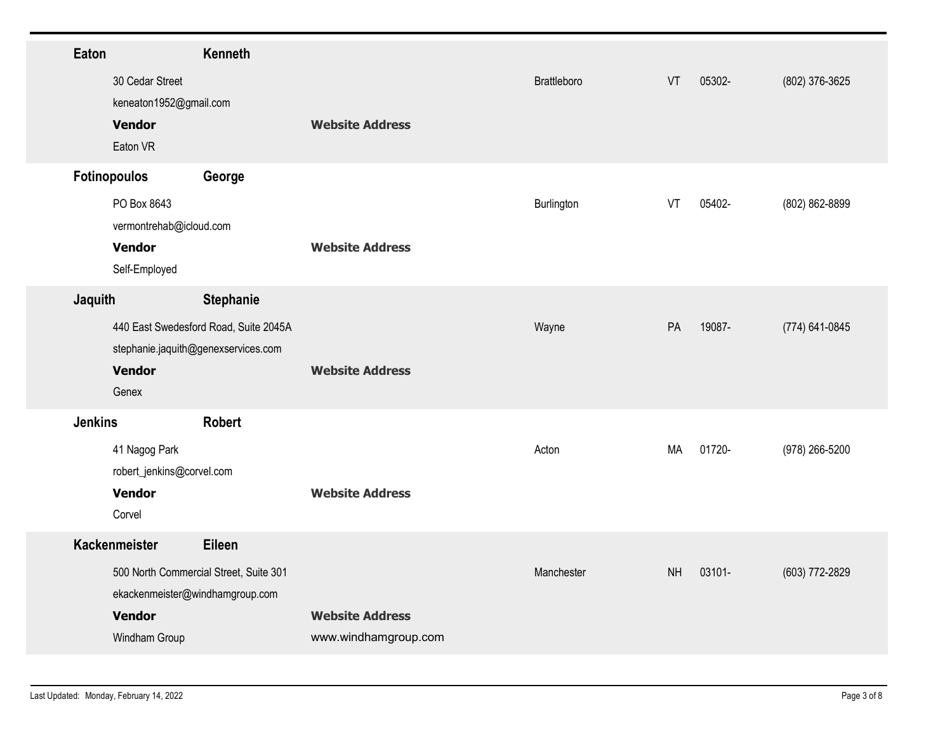| Eaton                    |                                            | Kenneth                                                                                   |                                                |             |           |        |                |
|--------------------------|--------------------------------------------|-------------------------------------------------------------------------------------------|------------------------------------------------|-------------|-----------|--------|----------------|
| <b>Vendor</b>            | 30 Cedar Street<br>keneaton1952@gmail.com  |                                                                                           | <b>Website Address</b>                         | Brattleboro | VT        | 05302- | (802) 376-3625 |
| Eaton VR<br>Fotinopoulos |                                            | George                                                                                    |                                                |             |           |        |                |
| <b>Vendor</b>            | PO Box 8643<br>vermontrehab@icloud.com     |                                                                                           | <b>Website Address</b>                         | Burlington  | VT        | 05402- | (802) 862-8899 |
|                          | Self-Employed                              |                                                                                           |                                                |             |           |        |                |
| Jaquith                  |                                            | Stephanie<br>440 East Swedesford Road, Suite 2045A<br>stephanie.jaquith@genexservices.com |                                                | Wayne       | PA        | 19087- | (774) 641-0845 |
| <b>Vendor</b><br>Genex   |                                            |                                                                                           | <b>Website Address</b>                         |             |           |        |                |
| <b>Jenkins</b>           |                                            | Robert                                                                                    |                                                |             |           |        |                |
|                          | 41 Nagog Park<br>robert_jenkins@corvel.com |                                                                                           |                                                | Acton       | MA        | 01720- | (978) 266-5200 |
| <b>Vendor</b><br>Corvel  |                                            |                                                                                           | <b>Website Address</b>                         |             |           |        |                |
| Kackenmeister            |                                            | Eileen                                                                                    |                                                |             |           |        |                |
|                          |                                            | 500 North Commercial Street, Suite 301<br>ekackenmeister@windhamgroup.com                 |                                                | Manchester  | <b>NH</b> | 03101- | (603) 772-2829 |
| <b>Vendor</b>            | Windham Group                              |                                                                                           | <b>Website Address</b><br>www.windhamgroup.com |             |           |        |                |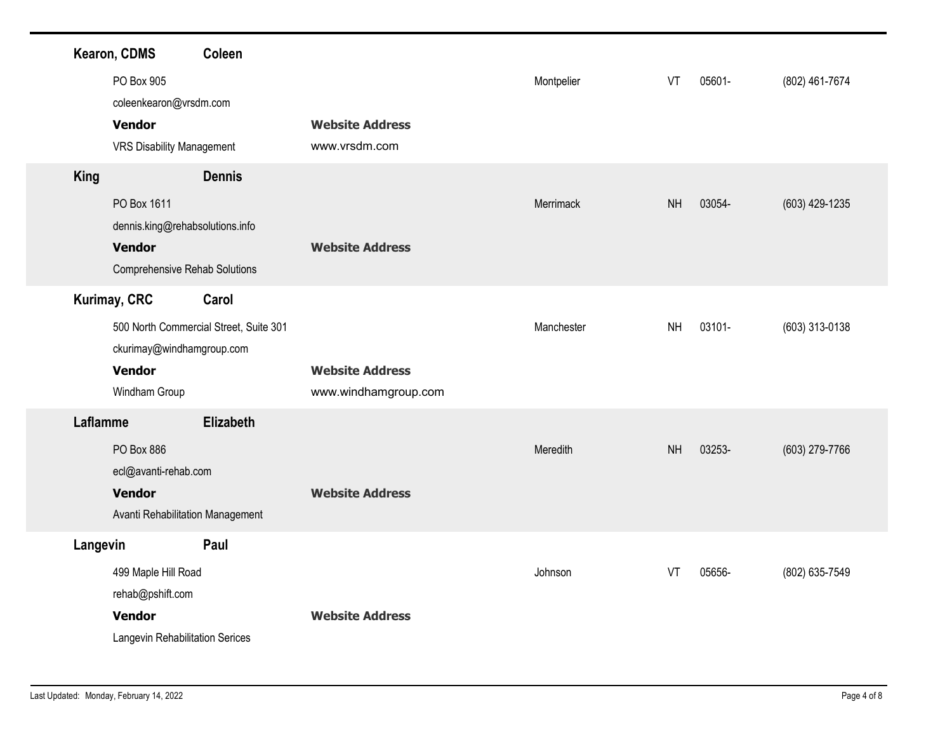| Kearon, CDMS<br>PO Box 905<br><b>Vendor</b>                          | Coleen<br>coleenkearon@vrsdm.com<br><b>VRS Disability Management</b>                     | <b>Website Address</b><br>www.vrsdm.com        | Montpelier | VT<br>05601-        | (802) 461-7674 |
|----------------------------------------------------------------------|------------------------------------------------------------------------------------------|------------------------------------------------|------------|---------------------|----------------|
| <b>King</b><br>PO Box 1611<br><b>Vendor</b>                          | <b>Dennis</b><br>dennis.king@rehabsolutions.info<br><b>Comprehensive Rehab Solutions</b> | <b>Website Address</b>                         | Merrimack  | <b>NH</b><br>03054- | (603) 429-1235 |
| <b>Kurimay, CRC</b><br><b>Vendor</b><br>Windham Group                | Carol<br>500 North Commercial Street, Suite 301<br>ckurimay@windhamgroup.com             | <b>Website Address</b><br>www.windhamgroup.com | Manchester | <b>NH</b><br>03101- | (603) 313-0138 |
| Laflamme<br>PO Box 886<br>ecl@avanti-rehab.com<br><b>Vendor</b>      | Elizabeth<br>Avanti Rehabilitation Management                                            | <b>Website Address</b>                         | Meredith   | NH<br>03253-        | (603) 279-7766 |
| Langevin<br>499 Maple Hill Road<br>rehab@pshift.com<br><b>Vendor</b> | Paul<br>Langevin Rehabilitation Serices                                                  | <b>Website Address</b>                         | Johnson    | VT<br>05656-        | (802) 635-7549 |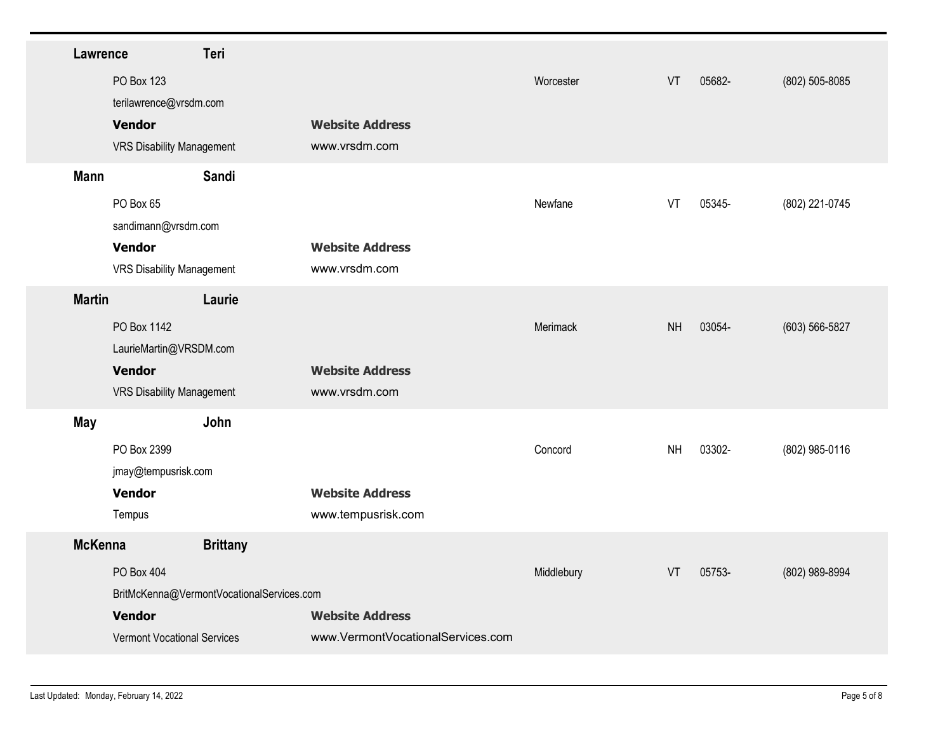| Lawrence       |                                         | Teri                                      |                                   |            |           |        |                |
|----------------|-----------------------------------------|-------------------------------------------|-----------------------------------|------------|-----------|--------|----------------|
|                | PO Box 123                              |                                           |                                   | Worcester  | VT        | 05682- | (802) 505-8085 |
|                | terilawrence@vrsdm.com<br><b>Vendor</b> |                                           | <b>Website Address</b>            |            |           |        |                |
|                | <b>VRS Disability Management</b>        |                                           | www.vrsdm.com                     |            |           |        |                |
| <b>Mann</b>    |                                         | Sandi                                     |                                   |            |           |        |                |
|                | PO Box 65                               |                                           |                                   | Newfane    | VT        | 05345- | (802) 221-0745 |
|                | sandimann@vrsdm.com<br><b>Vendor</b>    |                                           | <b>Website Address</b>            |            |           |        |                |
|                | <b>VRS Disability Management</b>        |                                           | www.vrsdm.com                     |            |           |        |                |
| <b>Martin</b>  |                                         | Laurie                                    |                                   |            |           |        |                |
|                | PO Box 1142                             |                                           |                                   | Merimack   | <b>NH</b> | 03054- | (603) 566-5827 |
|                | LaurieMartin@VRSDM.com<br><b>Vendor</b> |                                           | <b>Website Address</b>            |            |           |        |                |
|                | <b>VRS Disability Management</b>        |                                           | www.vrsdm.com                     |            |           |        |                |
| May            |                                         | John                                      |                                   |            |           |        |                |
|                | PO Box 2399<br>jmay@tempusrisk.com      |                                           |                                   | Concord    | <b>NH</b> | 03302- | (802) 985-0116 |
|                | <b>Vendor</b>                           |                                           | <b>Website Address</b>            |            |           |        |                |
|                | Tempus                                  |                                           | www.tempusrisk.com                |            |           |        |                |
| <b>McKenna</b> |                                         | <b>Brittany</b>                           |                                   |            |           |        |                |
|                | PO Box 404                              | BritMcKenna@VermontVocationalServices.com |                                   | Middlebury | VT        | 05753- | (802) 989-8994 |
|                | <b>Vendor</b>                           |                                           | <b>Website Address</b>            |            |           |        |                |
|                | Vermont Vocational Services             |                                           | www.VermontVocationalServices.com |            |           |        |                |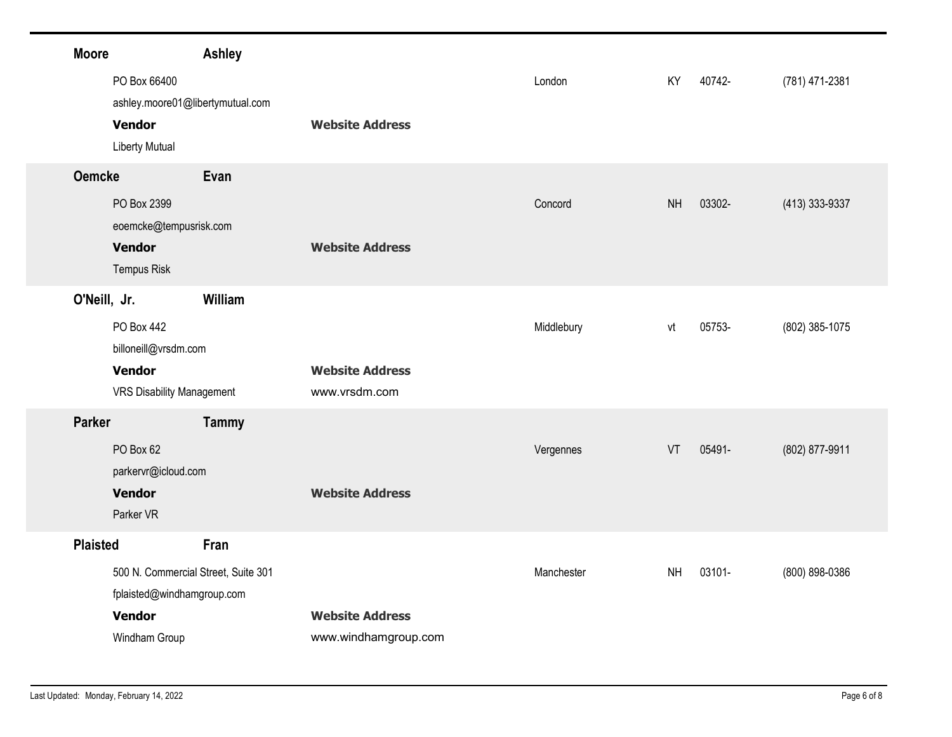| <b>Moore</b>    |                                                                                         | <b>Ashley</b>                       |                                                |            |           |        |                |
|-----------------|-----------------------------------------------------------------------------------------|-------------------------------------|------------------------------------------------|------------|-----------|--------|----------------|
|                 | PO Box 66400<br><b>Vendor</b>                                                           | ashley.moore01@libertymutual.com    | <b>Website Address</b>                         | London     | KY        | 40742- | (781) 471-2381 |
|                 | <b>Liberty Mutual</b>                                                                   |                                     |                                                |            |           |        |                |
| <b>Oemcke</b>   | PO Box 2399<br>eoemcke@tempusrisk.com<br><b>Vendor</b><br><b>Tempus Risk</b>            | Evan                                | <b>Website Address</b>                         | Concord    | <b>NH</b> | 03302- | (413) 333-9337 |
| O'Neill, Jr.    | PO Box 442<br>billoneill@vrsdm.com<br><b>Vendor</b><br><b>VRS Disability Management</b> | William                             | <b>Website Address</b><br>www.vrsdm.com        | Middlebury | vt        | 05753- | (802) 385-1075 |
| <b>Parker</b>   | PO Box 62<br>parkervr@icloud.com<br><b>Vendor</b>                                       | <b>Tammy</b>                        | <b>Website Address</b>                         | Vergennes  | VT        | 05491- | (802) 877-9911 |
| <b>Plaisted</b> | Parker VR                                                                               | Fran                                |                                                |            |           |        |                |
|                 | fplaisted@windhamgroup.com<br><b>Vendor</b><br>Windham Group                            | 500 N. Commercial Street, Suite 301 | <b>Website Address</b><br>www.windhamgroup.com | Manchester | <b>NH</b> | 03101- | (800) 898-0386 |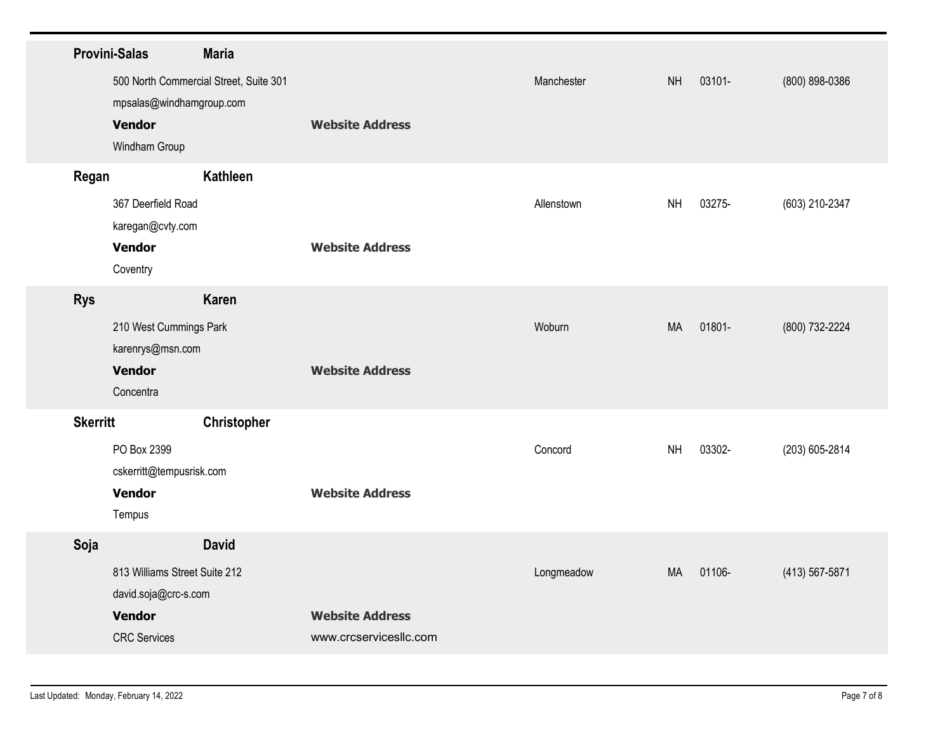|                 | <b>Provini-Salas</b>                      | <b>Maria</b>                           |                                                  |            |           |        |                |
|-----------------|-------------------------------------------|----------------------------------------|--------------------------------------------------|------------|-----------|--------|----------------|
|                 |                                           | 500 North Commercial Street, Suite 301 |                                                  | Manchester | <b>NH</b> | 03101- | (800) 898-0386 |
|                 | mpsalas@windhamgroup.com<br><b>Vendor</b> |                                        | <b>Website Address</b>                           |            |           |        |                |
|                 | Windham Group                             |                                        |                                                  |            |           |        |                |
| Regan           |                                           | Kathleen                               |                                                  |            |           |        |                |
|                 | 367 Deerfield Road<br>karegan@cvty.com    |                                        |                                                  | Allenstown | <b>NH</b> | 03275- | (603) 210-2347 |
|                 | <b>Vendor</b><br>Coventry                 |                                        | <b>Website Address</b>                           |            |           |        |                |
| <b>Rys</b>      |                                           | Karen                                  |                                                  |            |           |        |                |
|                 | 210 West Cummings Park                    |                                        |                                                  | Woburn     | MA        | 01801- | (800) 732-2224 |
|                 | karenrys@msn.com<br><b>Vendor</b>         |                                        | <b>Website Address</b>                           |            |           |        |                |
|                 | Concentra                                 |                                        |                                                  |            |           |        |                |
| <b>Skerritt</b> |                                           | Christopher                            |                                                  |            |           |        |                |
|                 | PO Box 2399<br>cskerritt@tempusrisk.com   |                                        |                                                  | Concord    | <b>NH</b> | 03302- | (203) 605-2814 |
|                 | <b>Vendor</b>                             |                                        | <b>Website Address</b>                           |            |           |        |                |
|                 | Tempus                                    |                                        |                                                  |            |           |        |                |
| Soja            | 813 Williams Street Suite 212             | <b>David</b>                           |                                                  | Longmeadow | MA        | 01106- | (413) 567-5871 |
|                 | david.soja@crc-s.com                      |                                        |                                                  |            |           |        |                |
|                 | <b>Vendor</b><br><b>CRC</b> Services      |                                        | <b>Website Address</b><br>www.crcservicesllc.com |            |           |        |                |
|                 |                                           |                                        |                                                  |            |           |        |                |